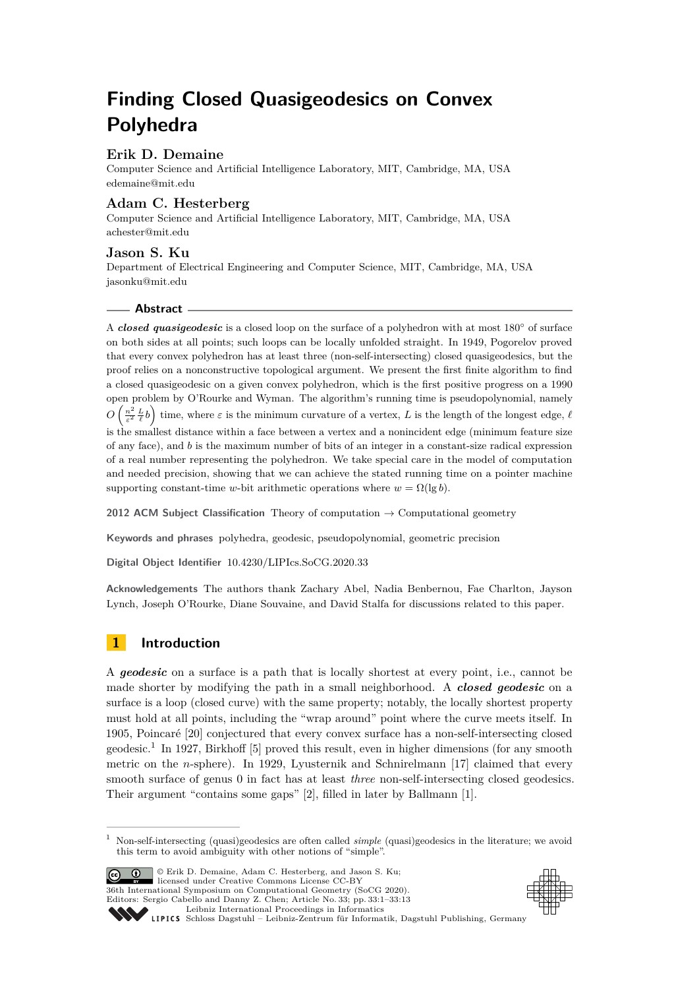# **Finding Closed Quasigeodesics on Convex Polyhedra**

## **Erik D. Demaine**

Computer Science and Artificial Intelligence Laboratory, MIT, Cambridge, MA, USA [edemaine@mit.edu](mailto:edemaine@mit.edu)

## **Adam C. Hesterberg**

Computer Science and Artificial Intelligence Laboratory, MIT, Cambridge, MA, USA [achester@mit.edu](mailto:achester@mit.edu)

## **Jason S. Ku**

Department of Electrical Engineering and Computer Science, MIT, Cambridge, MA, USA [jasonku@mit.edu](mailto:jasonku@mit.edu)

## **Abstract**

A *closed quasigeodesic* is a closed loop on the surface of a polyhedron with at most 180° of surface on both sides at all points; such loops can be locally unfolded straight. In 1949, Pogorelov proved that every convex polyhedron has at least three (non-self-intersecting) closed quasigeodesics, but the proof relies on a nonconstructive topological argument. We present the first finite algorithm to find a closed quasigeodesic on a given convex polyhedron, which is the first positive progress on a 1990 open problem by O'Rourke and Wyman. The algorithm's running time is pseudopolynomial, namely  $O\left(\frac{n^2}{\varepsilon^2}\frac{L}{\ell}b\right)$  time, where  $\varepsilon$  is the minimum curvature of a vertex, *L* is the length of the longest edge,  $\ell$ is the smallest distance within a face between a vertex and a nonincident edge (minimum feature size of any face), and *b* is the maximum number of bits of an integer in a constant-size radical expression of a real number representing the polyhedron. We take special care in the model of computation and needed precision, showing that we can achieve the stated running time on a pointer machine supporting constant-time *w*-bit arithmetic operations where  $w = \Omega(\lg b)$ .

**2012 ACM Subject Classification** Theory of computation → Computational geometry

**Keywords and phrases** polyhedra, geodesic, pseudopolynomial, geometric precision

**Digital Object Identifier** [10.4230/LIPIcs.SoCG.2020.33](https://doi.org/10.4230/LIPIcs.SoCG.2020.33)

**Acknowledgements** The authors thank Zachary Abel, Nadia Benbernou, Fae Charlton, Jayson Lynch, Joseph O'Rourke, Diane Souvaine, and David Stalfa for discussions related to this paper.

## **1 Introduction**

A *geodesic* on a surface is a path that is locally shortest at every point, i.e., cannot be made shorter by modifying the path in a small neighborhood. A *closed geodesic* on a surface is a loop (closed curve) with the same property; notably, the locally shortest property must hold at all points, including the "wrap around" point where the curve meets itself. In 1905, Poincaré [\[20\]](#page-12-0) conjectured that every convex surface has a non-self-intersecting closed geodesic.[1](#page-0-0) In 1927, Birkhoff [\[5\]](#page-11-0) proved this result, even in higher dimensions (for any smooth metric on the *n*-sphere). In 1929, Lyusternik and Schnirelmann [\[17\]](#page-12-1) claimed that every smooth surface of genus 0 in fact has at least *three* non-self-intersecting closed geodesics. Their argument "contains some gaps" [\[2\]](#page-11-1), filled in later by Ballmann [\[1\]](#page-11-2).

**C**  $\bullet$   $\bullet$  Erik D. Demaine, Adam C. Hesterberg, and Jason S. Ku; licensed under Creative Commons License CC-BY 36th International Symposium on Computational Geometry (SoCG 2020). Editors: Sergio Cabello and Danny Z. Chen; Article No. 33; pp. 33:1–33[:13](#page-12-2) [Leibniz International Proceedings in Informatics](https://www.dagstuhl.de/lipics/)



[Schloss Dagstuhl – Leibniz-Zentrum für Informatik, Dagstuhl Publishing, Germany](https://www.dagstuhl.de)

<span id="page-0-0"></span><sup>1</sup> Non-self-intersecting (quasi)geodesics are often called *simple* (quasi)geodesics in the literature; we avoid this term to avoid ambiguity with other notions of "simple".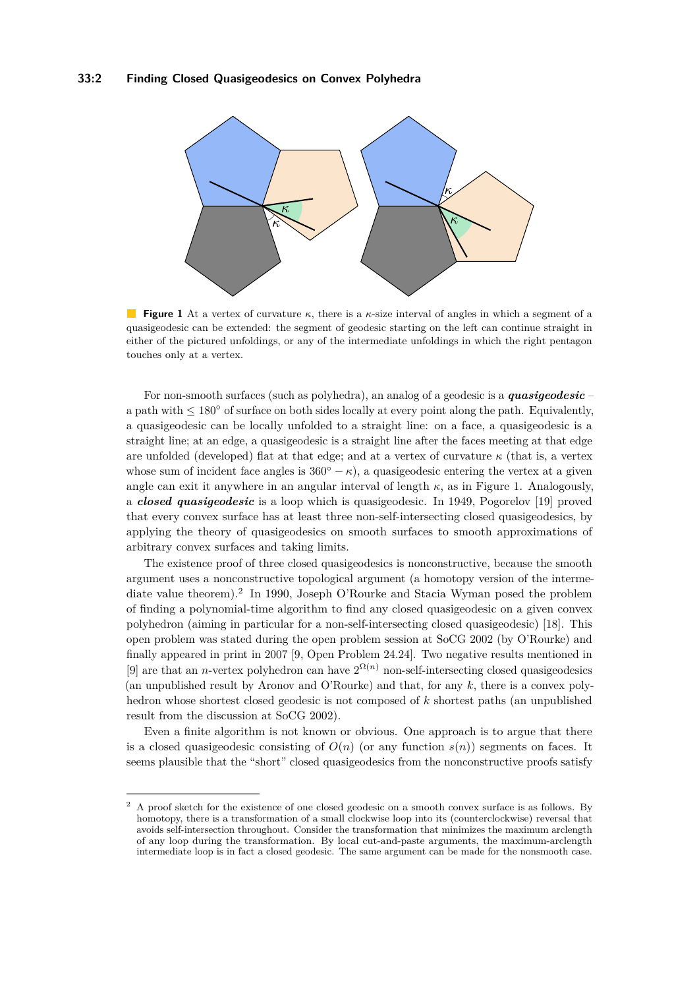<span id="page-1-0"></span>

**Figure 1** At a vertex of curvature *κ*, there is a *κ*-size interval of angles in which a segment of a quasigeodesic can be extended: the segment of geodesic starting on the left can continue straight in either of the pictured unfoldings, or any of the intermediate unfoldings in which the right pentagon touches only at a vertex.

For non-smooth surfaces (such as polyhedra), an analog of a geodesic is a *quasigeodesic* – a path with  $\leq 180^\circ$  of surface on both sides locally at every point along the path. Equivalently, a quasigeodesic can be locally unfolded to a straight line: on a face, a quasigeodesic is a straight line; at an edge, a quasigeodesic is a straight line after the faces meeting at that edge are unfolded (developed) flat at that edge; and at a vertex of curvature *κ* (that is, a vertex whose sum of incident face angles is  $360° - \kappa$ ), a quasigeodesic entering the vertex at a given angle can exit it anywhere in an angular interval of length  $\kappa$ , as in Figure [1.](#page-1-0) Analogously, a *closed quasigeodesic* is a loop which is quasigeodesic. In 1949, Pogorelov [\[19\]](#page-12-3) proved that every convex surface has at least three non-self-intersecting closed quasigeodesics, by applying the theory of quasigeodesics on smooth surfaces to smooth approximations of arbitrary convex surfaces and taking limits.

The existence proof of three closed quasigeodesics is nonconstructive, because the smooth argument uses a nonconstructive topological argument (a homotopy version of the interme-diate value theorem).<sup>[2](#page-1-1)</sup> In 1990, Joseph O'Rourke and Stacia Wyman posed the problem of finding a polynomial-time algorithm to find any closed quasigeodesic on a given convex polyhedron (aiming in particular for a non-self-intersecting closed quasigeodesic) [\[18\]](#page-12-4). This open problem was stated during the open problem session at SoCG 2002 (by O'Rourke) and finally appeared in print in 2007 [\[9,](#page-12-5) Open Problem 24.24]. Two negative results mentioned in [\[9\]](#page-12-5) are that an *n*-vertex polyhedron can have  $2^{\Omega(n)}$  non-self-intersecting closed quasigeodesics (an unpublished result by Aronov and O'Rourke) and that, for any *k*, there is a convex polyhedron whose shortest closed geodesic is not composed of *k* shortest paths (an unpublished result from the discussion at SoCG 2002).

Even a finite algorithm is not known or obvious. One approach is to argue that there is a closed quasigeodesic consisting of  $O(n)$  (or any function  $s(n)$ ) segments on faces. It seems plausible that the "short" closed quasigeodesics from the nonconstructive proofs satisfy

<span id="page-1-1"></span><sup>&</sup>lt;sup>2</sup> A proof sketch for the existence of one closed geodesic on a smooth convex surface is as follows. By homotopy, there is a transformation of a small clockwise loop into its (counterclockwise) reversal that avoids self-intersection throughout. Consider the transformation that minimizes the maximum arclength of any loop during the transformation. By local cut-and-paste arguments, the maximum-arclength intermediate loop is in fact a closed geodesic. The same argument can be made for the nonsmooth case.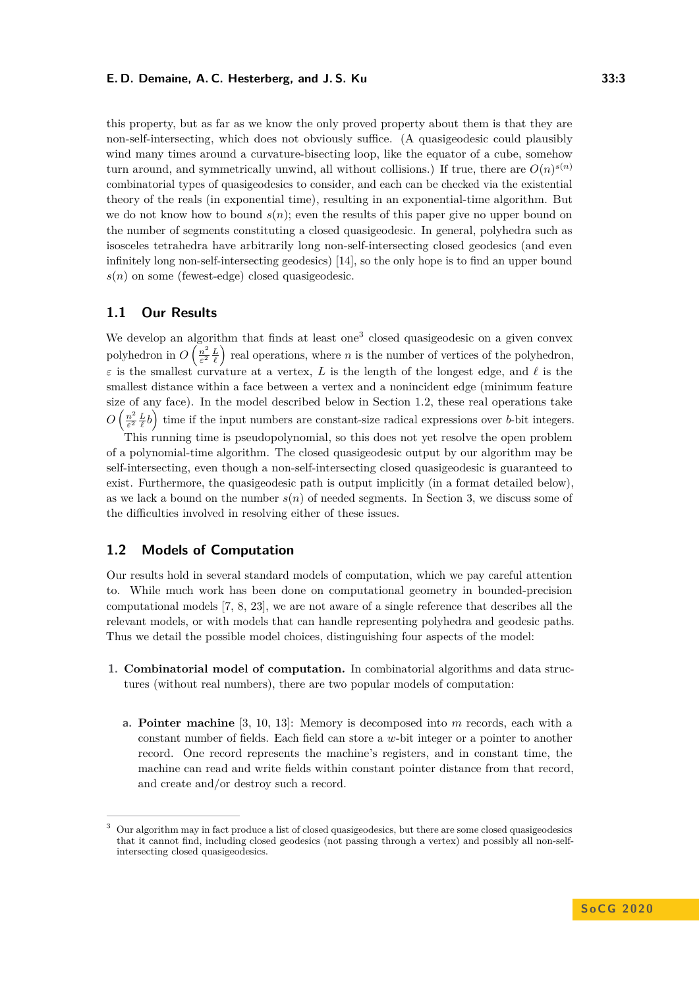this property, but as far as we know the only proved property about them is that they are non-self-intersecting, which does not obviously suffice. (A quasigeodesic could plausibly wind many times around a curvature-bisecting loop, like the equator of a cube, somehow turn around, and symmetrically unwind, all without collisions.) If true, there are  $O(n)^{s(n)}$ combinatorial types of quasigeodesics to consider, and each can be checked via the existential theory of the reals (in exponential time), resulting in an exponential-time algorithm. But we do not know how to bound  $s(n)$ ; even the results of this paper give no upper bound on the number of segments constituting a closed quasigeodesic. In general, polyhedra such as isosceles tetrahedra have arbitrarily long non-self-intersecting closed geodesics (and even infinitely long non-self-intersecting geodesics) [\[14\]](#page-12-6), so the only hope is to find an upper bound  $s(n)$  on some (fewest-edge) closed quasigeodesic.

#### **1.1 Our Results**

We develop an algorithm that finds at least one<sup>[3](#page-2-0)</sup> closed quasigeodesic on a given convex polyhedron in  $O\left(\frac{n^2}{\epsilon^2}\right)$  $\frac{n^2}{\varepsilon^2} \frac{L}{\ell}$  real operations, where *n* is the number of vertices of the polyhedron,  $\varepsilon$  is the smallest curvature at a vertex, *L* is the length of the longest edge, and  $\ell$  is the smallest distance within a face between a vertex and a nonincident edge (minimum feature size of any face). In the model described below in Section [1.2,](#page-2-1) these real operations take  $O\left(\frac{n^2}{\varepsilon^2}\right)$  $\frac{n^2}{\varepsilon^2} \frac{L}{\ell} b$  time if the input numbers are constant-size radical expressions over *b*-bit integers.

This running time is pseudopolynomial, so this does not yet resolve the open problem of a polynomial-time algorithm. The closed quasigeodesic output by our algorithm may be self-intersecting, even though a non-self-intersecting closed quasigeodesic is guaranteed to exist. Furthermore, the quasigeodesic path is output implicitly (in a format detailed below), as we lack a bound on the number  $s(n)$  of needed segments. In Section [3,](#page-10-0) we discuss some of the difficulties involved in resolving either of these issues.

## <span id="page-2-1"></span>**1.2 Models of Computation**

Our results hold in several standard models of computation, which we pay careful attention to. While much work has been done on computational geometry in bounded-precision computational models [\[7,](#page-12-7) [8,](#page-12-8) [23\]](#page-12-9), we are not aware of a single reference that describes all the relevant models, or with models that can handle representing polyhedra and geodesic paths. Thus we detail the possible model choices, distinguishing four aspects of the model:

- **1. Combinatorial model of computation.** In combinatorial algorithms and data structures (without real numbers), there are two popular models of computation:
	- **a. Pointer machine** [\[3,](#page-11-3) [10,](#page-12-10) [13\]](#page-12-11): Memory is decomposed into *m* records, each with a constant number of fields. Each field can store a *w*-bit integer or a pointer to another record. One record represents the machine's registers, and in constant time, the machine can read and write fields within constant pointer distance from that record, and create and/or destroy such a record.

<span id="page-2-0"></span><sup>3</sup> Our algorithm may in fact produce a list of closed quasigeodesics, but there are some closed quasigeodesics that it cannot find, including closed geodesics (not passing through a vertex) and possibly all non-selfintersecting closed quasigeodesics.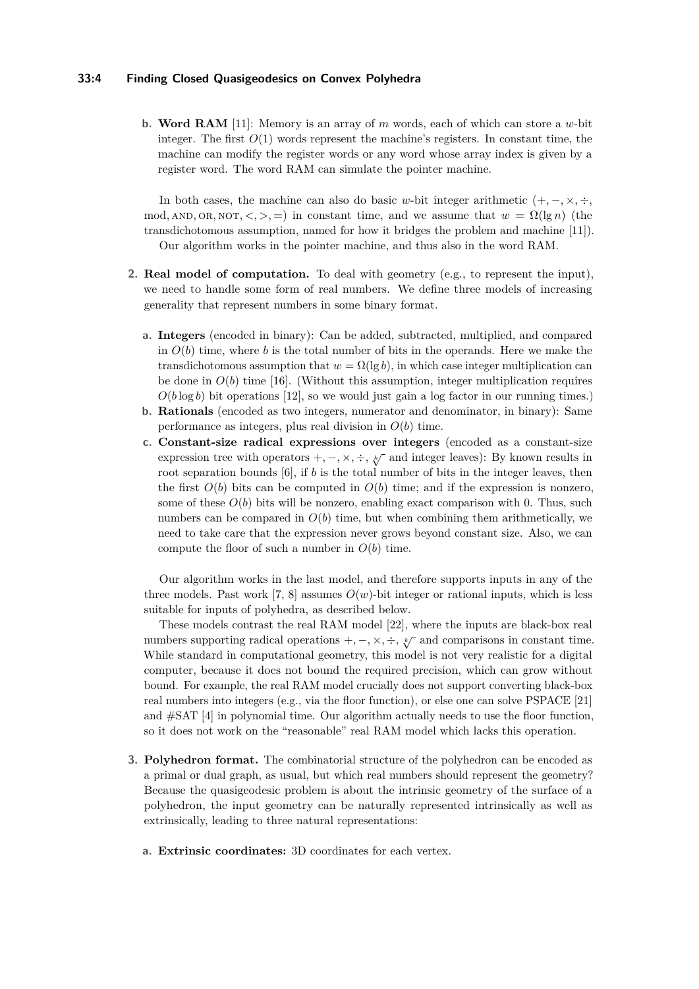#### **33:4 Finding Closed Quasigeodesics on Convex Polyhedra**

**b. Word RAM** [\[11\]](#page-12-12): Memory is an array of *m* words, each of which can store a *w*-bit integer. The first  $O(1)$  words represent the machine's registers. In constant time, the machine can modify the register words or any word whose array index is given by a register word. The word RAM can simulate the pointer machine.

In both cases, the machine can also do basic *w*-bit integer arithmetic  $(+, -, \times, \div,$ mod, AND, OR, NOT,  $\langle \cdot, \cdot \rangle$ , =) in constant time, and we assume that  $w = \Omega(\lg n)$  (the transdichotomous assumption, named for how it bridges the problem and machine [\[11\]](#page-12-12)). Our algorithm works in the pointer machine, and thus also in the word RAM.

- **2. Real model of computation.** To deal with geometry (e.g., to represent the input), we need to handle some form of real numbers. We define three models of increasing generality that represent numbers in some binary format.
	- **a. Integers** (encoded in binary): Can be added, subtracted, multiplied, and compared in  $O(b)$  time, where *b* is the total number of bits in the operands. Here we make the transdichotomous assumption that  $w = \Omega(\lg b)$ , in which case integer multiplication can be done in  $O(b)$  time [\[16\]](#page-12-13). (Without this assumption, integer multiplication requires  $O(b \log b)$  bit operations [\[12\]](#page-12-14), so we would just gain a log factor in our running times.)
	- **b. Rationals** (encoded as two integers, numerator and denominator, in binary): Same performance as integers, plus real division in  $O(b)$  time.
	- **c. Constant-size radical expressions over integers** (encoded as a constant-size expression tree with operators  $+$ ,  $-$ ,  $\times$ ,  $\div$ ,  $\sqrt[k]{\ }$  and integer leaves): By known results in root separation bounds [\[6\]](#page-11-4), if *b* is the total number of bits in the integer leaves, then the first  $O(b)$  bits can be computed in  $O(b)$  time; and if the expression is nonzero, some of these  $O(b)$  bits will be nonzero, enabling exact comparison with 0. Thus, such numbers can be compared in  $O(b)$  time, but when combining them arithmetically, we need to take care that the expression never grows beyond constant size. Also, we can compute the floor of such a number in  $O(b)$  time.

Our algorithm works in the last model, and therefore supports inputs in any of the three models. Past work [\[7,](#page-12-7) [8\]](#page-12-8) assumes  $O(w)$ -bit integer or rational inputs, which is less suitable for inputs of polyhedra, as described below.

These models contrast the real RAM model [\[22\]](#page-12-15), where the inputs are black-box real numbers supporting radical operations  $+$ ,  $-$ ,  $\times$ ,  $\div$ ,  $\swarrow$  and comparisons in constant time. While standard in computational geometry, this model is not very realistic for a digital computer, because it does not bound the required precision, which can grow without bound. For example, the real RAM model crucially does not support converting black-box real numbers into integers (e.g., via the floor function), or else one can solve PSPACE [\[21\]](#page-12-16) and #SAT [\[4\]](#page-11-5) in polynomial time. Our algorithm actually needs to use the floor function, so it does not work on the "reasonable" real RAM model which lacks this operation.

- **3. Polyhedron format.** The combinatorial structure of the polyhedron can be encoded as a primal or dual graph, as usual, but which real numbers should represent the geometry? Because the quasigeodesic problem is about the intrinsic geometry of the surface of a polyhedron, the input geometry can be naturally represented intrinsically as well as extrinsically, leading to three natural representations:
	- **a. Extrinsic coordinates:** 3D coordinates for each vertex.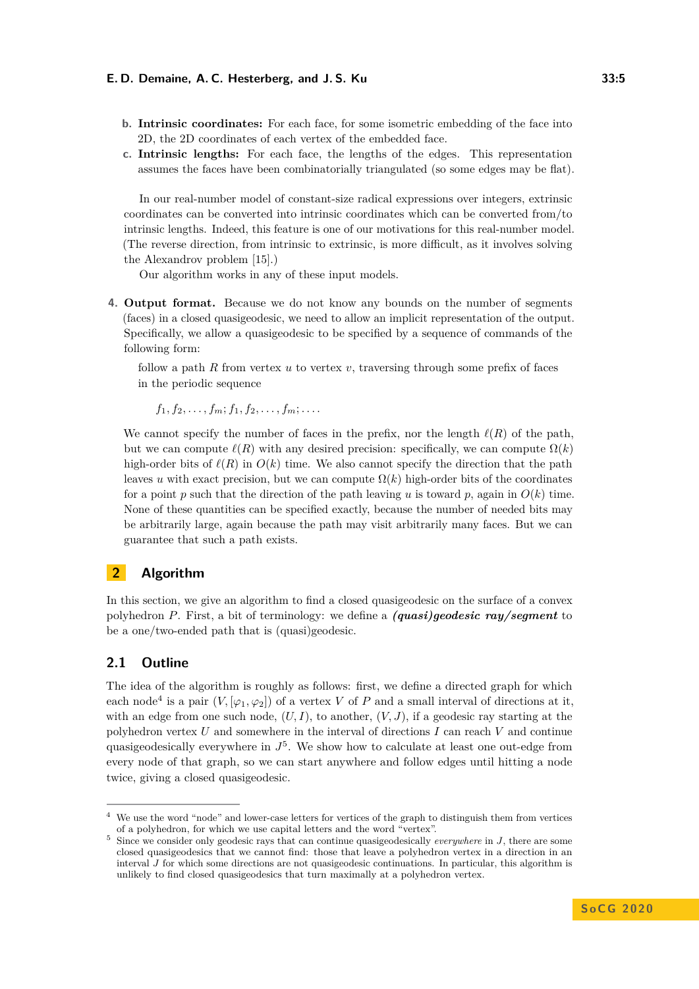- **b. Intrinsic coordinates:** For each face, for some isometric embedding of the face into 2D, the 2D coordinates of each vertex of the embedded face.
- **c. Intrinsic lengths:** For each face, the lengths of the edges. This representation assumes the faces have been combinatorially triangulated (so some edges may be flat).

In our real-number model of constant-size radical expressions over integers, extrinsic coordinates can be converted into intrinsic coordinates which can be converted from/to intrinsic lengths. Indeed, this feature is one of our motivations for this real-number model. (The reverse direction, from intrinsic to extrinsic, is more difficult, as it involves solving the Alexandrov problem [\[15\]](#page-12-17).)

Our algorithm works in any of these input models.

**4. Output format.** Because we do not know any bounds on the number of segments (faces) in a closed quasigeodesic, we need to allow an implicit representation of the output. Specifically, we allow a quasigeodesic to be specified by a sequence of commands of the following form:

follow a path *R* from vertex *u* to vertex *v*, traversing through some prefix of faces in the periodic sequence

$$
f_1, f_2, \ldots, f_m; f_1, f_2, \ldots, f_m; \ldots
$$

We cannot specify the number of faces in the prefix, nor the length  $\ell(R)$  of the path, but we can compute  $\ell(R)$  with any desired precision: specifically, we can compute  $\Omega(k)$ high-order bits of  $\ell(R)$  in  $O(k)$  time. We also cannot specify the direction that the path leaves *u* with exact precision, but we can compute  $\Omega(k)$  high-order bits of the coordinates for a point  $p$  such that the direction of the path leaving  $u$  is toward  $p$ , again in  $O(k)$  time. None of these quantities can be specified exactly, because the number of needed bits may be arbitrarily large, again because the path may visit arbitrarily many faces. But we can guarantee that such a path exists.

## **2 Algorithm**

In this section, we give an algorithm to find a closed quasigeodesic on the surface of a convex polyhedron *P*. First, a bit of terminology: we define a *(quasi)geodesic ray/segment* to be a one/two-ended path that is (quasi)geodesic.

## <span id="page-4-2"></span>**2.1 Outline**

The idea of the algorithm is roughly as follows: first, we define a directed graph for which each node<sup>[4](#page-4-0)</sup> is a pair  $(V, [\varphi_1, \varphi_2])$  of a vertex V of P and a small interval of directions at it, with an edge from one such node,  $(U, I)$ , to another,  $(V, J)$ , if a geodesic ray starting at the polyhedron vertex *U* and somewhere in the interval of directions *I* can reach *V* and continue quasigeodesically everywhere in  $J^5$  $J^5$ . We show how to calculate at least one out-edge from every node of that graph, so we can start anywhere and follow edges until hitting a node twice, giving a closed quasigeodesic.

<span id="page-4-0"></span>We use the word "node" and lower-case letters for vertices of the graph to distinguish them from vertices of a polyhedron, for which we use capital letters and the word "vertex".

<span id="page-4-1"></span><sup>5</sup> Since we consider only geodesic rays that can continue quasigeodesically *everywhere* in *J*, there are some closed quasigeodesics that we cannot find: those that leave a polyhedron vertex in a direction in an interval *J* for which some directions are not quasigeodesic continuations. In particular, this algorithm is unlikely to find closed quasigeodesics that turn maximally at a polyhedron vertex.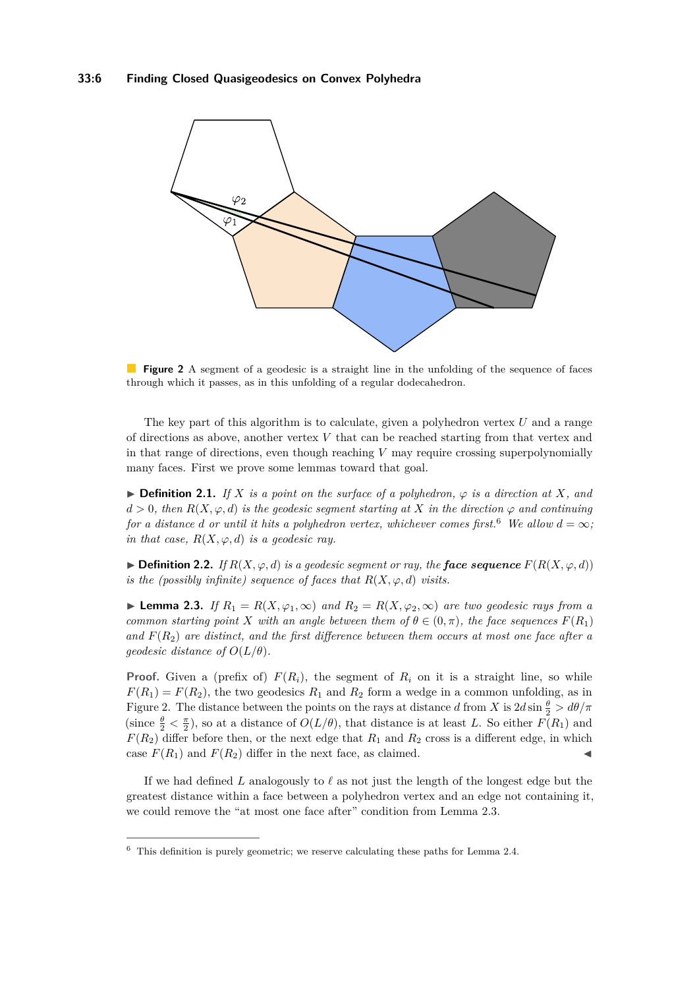<span id="page-5-1"></span>

**Figure 2** A segment of a geodesic is a straight line in the unfolding of the sequence of faces through which it passes, as in this unfolding of a regular dodecahedron.

The key part of this algorithm is to calculate, given a polyhedron vertex *U* and a range of directions as above, another vertex *V* that can be reached starting from that vertex and in that range of directions, even though reaching *V* may require crossing superpolynomially many faces. First we prove some lemmas toward that goal.

**► Definition 2.1.** *If*  $X$  *is a point on the surface of a polyhedron,*  $\varphi$  *is a direction at*  $X$ *, and*  $d > 0$ , then  $R(X, \varphi, d)$  *is the geodesic segment starting at X in the direction*  $\varphi$  *and continuing for a distance d or until it hits a polyhedron vertex, whichever comes first.*<sup>[6](#page-5-0)</sup> *We allow*  $d = \infty$ *; in that case,*  $R(X, \varphi, d)$  *is a geodesic ray.* 

**► Definition 2.2.** *If*  $R(X, \varphi, d)$  *is a geodesic segment or ray, the face sequence*  $F(R(X, \varphi, d))$ *is the (possibly infinite) sequence of faces that*  $R(X, \varphi, d)$  *visits.* 

<span id="page-5-2"></span>► **Lemma 2.3.** *If*  $R_1 = R(X, \varphi_1, \infty)$  *and*  $R_2 = R(X, \varphi_2, \infty)$  *are two geodesic rays from a common starting point X with an angle between them of*  $\theta \in (0, \pi)$ *, the face sequences*  $F(R_1)$ *and F*(*R*2) *are distinct, and the first difference between them occurs at most one face after a geodesic distance of*  $O(L/\theta)$ *.* 

**Proof.** Given a (prefix of)  $F(R_i)$ , the segment of  $R_i$  on it is a straight line, so while  $F(R_1) = F(R_2)$ , the two geodesics  $R_1$  and  $R_2$  form a wedge in a common unfolding, as in Figure [2.](#page-5-1) The distance between the points on the rays at distance *d* from *X* is  $2d \sin \frac{\theta}{2} > d\theta/\pi$ (since  $\frac{\theta}{2} < \frac{\pi}{2}$ ), so at a distance of  $O(L/\theta)$ , that distance is at least *L*. So either  $F(R_1)$  and  $F(R_2)$  differ before then, or the next edge that  $R_1$  and  $R_2$  cross is a different edge, in which case  $F(R_1)$  and  $F(R_2)$  differ in the next face, as claimed.

If we had defined L analogously to  $\ell$  as not just the length of the longest edge but the greatest distance within a face between a polyhedron vertex and an edge not containing it, we could remove the "at most one face after" condition from Lemma [2.3.](#page-5-2)

<span id="page-5-0"></span> $6$  This definition is purely geometric; we reserve calculating these paths for Lemma [2.4.](#page-7-0)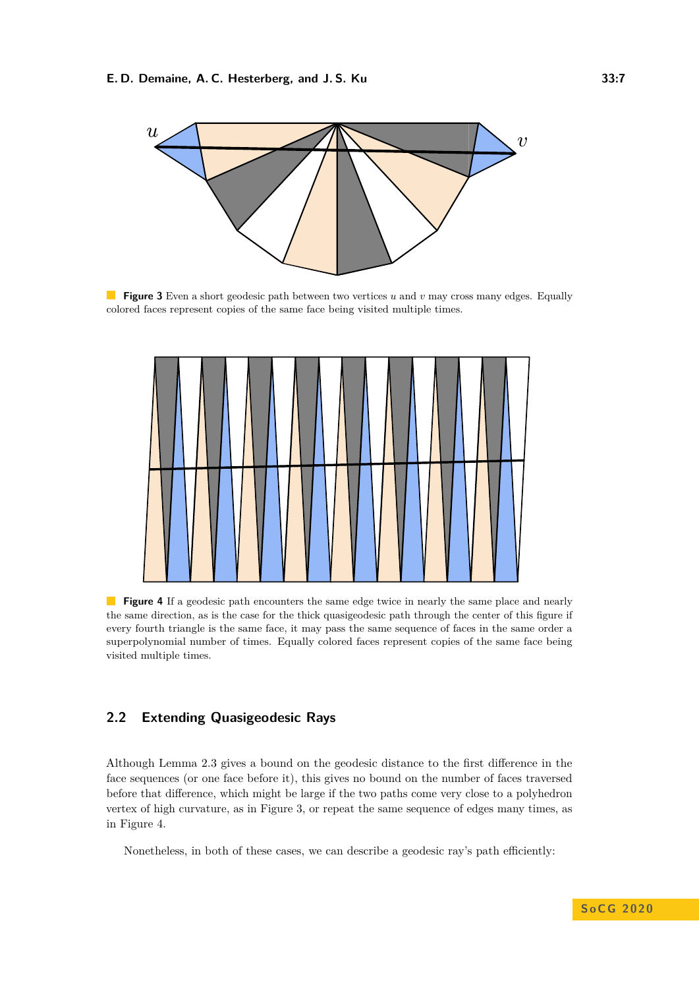<span id="page-6-0"></span>

**Figure 3** Even a short geodesic path between two vertices *u* and *v* may cross many edges. Equally colored faces represent copies of the same face being visited multiple times.

<span id="page-6-1"></span>

**Figure 4** If a geodesic path encounters the same edge twice in nearly the same place and nearly the same direction, as is the case for the thick quasigeodesic path through the center of this figure if every fourth triangle is the same face, it may pass the same sequence of faces in the same order a superpolynomial number of times. Equally colored faces represent copies of the same face being visited multiple times.

## **2.2 Extending Quasigeodesic Rays**

Although Lemma [2.3](#page-5-2) gives a bound on the geodesic distance to the first difference in the face sequences (or one face before it), this gives no bound on the number of faces traversed before that difference, which might be large if the two paths come very close to a polyhedron vertex of high curvature, as in Figure [3,](#page-6-0) or repeat the same sequence of edges many times, as in Figure [4.](#page-6-1)

Nonetheless, in both of these cases, we can describe a geodesic ray's path efficiently: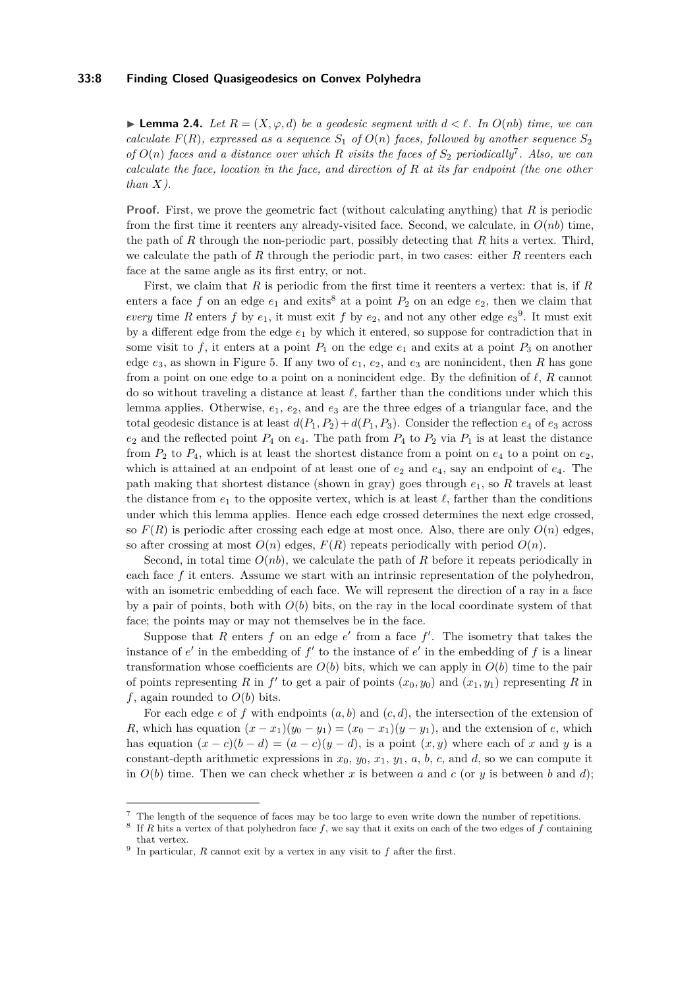#### **33:8 Finding Closed Quasigeodesics on Convex Polyhedra**

<span id="page-7-0"></span>▶ **Lemma 2.4.** *Let*  $R = (X, \varphi, d)$  *be a geodesic segment with*  $d < l$ *. In*  $O(nb)$  *time, we can calculate*  $F(R)$ *, expressed as a sequence*  $S_1$  *of*  $O(n)$  *faces, followed by another sequence*  $S_2$ *of*  $O(n)$  *faces and a distance over which R visits the faces of*  $S_2$  *periodically*<sup>[7](#page-7-1)</sup>. Also, we can *calculate the face, location in the face, and direction of R at its far endpoint (the one other than X).*

**Proof.** First, we prove the geometric fact (without calculating anything) that *R* is periodic from the first time it reenters any already-visited face. Second, we calculate, in *O*(*nb*) time, the path of *R* through the non-periodic part, possibly detecting that *R* hits a vertex. Third, we calculate the path of *R* through the periodic part, in two cases: either *R* reenters each face at the same angle as its first entry, or not.

First, we claim that *R* is periodic from the first time it reenters a vertex: that is, if *R* enters a face f on an edge  $e_1$  and exits<sup>[8](#page-7-2)</sup> at a point  $P_2$  on an edge  $e_2$ , then we claim that *every* time *R* enters *f* by  $e_1$ , it must exit *f* by  $e_2$ , and not any other edge  $e_3^9$  $e_3^9$ . It must exit by a different edge from the edge  $e_1$  by which it entered, so suppose for contradiction that in some visit to f, it enters at a point  $P_1$  on the edge  $e_1$  and exits at a point  $P_3$  on another edge *e*3, as shown in Figure [5.](#page-8-0) If any two of *e*1, *e*2, and *e*<sup>3</sup> are nonincident, then *R* has gone from a point on one edge to a point on a nonincident edge. By the definition of  $\ell$ ,  $R$  cannot do so without traveling a distance at least  $\ell$ , farther than the conditions under which this lemma applies. Otherwise, *e*1, *e*2, and *e*<sup>3</sup> are the three edges of a triangular face, and the total geodesic distance is at least  $d(P_1, P_2) + d(P_1, P_3)$ . Consider the reflection  $e_4$  of  $e_3$  across  $e_2$  and the reflected point  $P_4$  on  $e_4$ . The path from  $P_4$  to  $P_2$  via  $P_1$  is at least the distance from  $P_2$  to  $P_4$ , which is at least the shortest distance from a point on  $e_4$  to a point on  $e_2$ , which is attained at an endpoint of at least one of  $e_2$  and  $e_4$ , say an endpoint of  $e_4$ . The path making that shortest distance (shown in gray) goes through *e*1, so *R* travels at least the distance from  $e_1$  to the opposite vertex, which is at least  $\ell$ , farther than the conditions under which this lemma applies. Hence each edge crossed determines the next edge crossed, so  $F(R)$  is periodic after crossing each edge at most once. Also, there are only  $O(n)$  edges, so after crossing at most  $O(n)$  edges,  $F(R)$  repeats periodically with period  $O(n)$ .

Second, in total time  $O(nb)$ , we calculate the path of *R* before it repeats periodically in each face *f* it enters. Assume we start with an intrinsic representation of the polyhedron, with an isometric embedding of each face. We will represent the direction of a ray in a face by a pair of points, both with  $O(b)$  bits, on the ray in the local coordinate system of that face; the points may or may not themselves be in the face.

Suppose that  $R$  enters  $f$  on an edge  $e'$  from a face  $f'$ . The isometry that takes the instance of  $e'$  in the embedding of  $f'$  to the instance of  $e'$  in the embedding of  $f$  is a linear transformation whose coefficients are  $O(b)$  bits, which we can apply in  $O(b)$  time to the pair of points representing *R* in  $f'$  to get a pair of points  $(x_0, y_0)$  and  $(x_1, y_1)$  representing *R* in *f*, again rounded to  $O(b)$  bits.

For each edge  $e$  of  $f$  with endpoints  $(a, b)$  and  $(c, d)$ , the intersection of the extension of *R*, which has equation  $(x - x_1)(y_0 - y_1) = (x_0 - x_1)(y - y_1)$ , and the extension of *e*, which has equation  $(x - c)(b - d) = (a - c)(y - d)$ , is a point  $(x, y)$  where each of *x* and *y* is a constant-depth arithmetic expressions in  $x_0$ ,  $y_0$ ,  $x_1$ ,  $y_1$ ,  $a$ ,  $b$ ,  $c$ , and  $d$ , so we can compute it in  $O(b)$  time. Then we can check whether x is between a and c (or y is between b and d);

<span id="page-7-1"></span><sup>7</sup> The length of the sequence of faces may be too large to even write down the number of repetitions.

<span id="page-7-2"></span><sup>8</sup> If *R* hits a vertex of that polyhedron face *f*, we say that it exits on each of the two edges of *f* containing that vertex.

<span id="page-7-3"></span><sup>&</sup>lt;sup>9</sup> In particular, *R* cannot exit by a vertex in any visit to  $f$  after the first.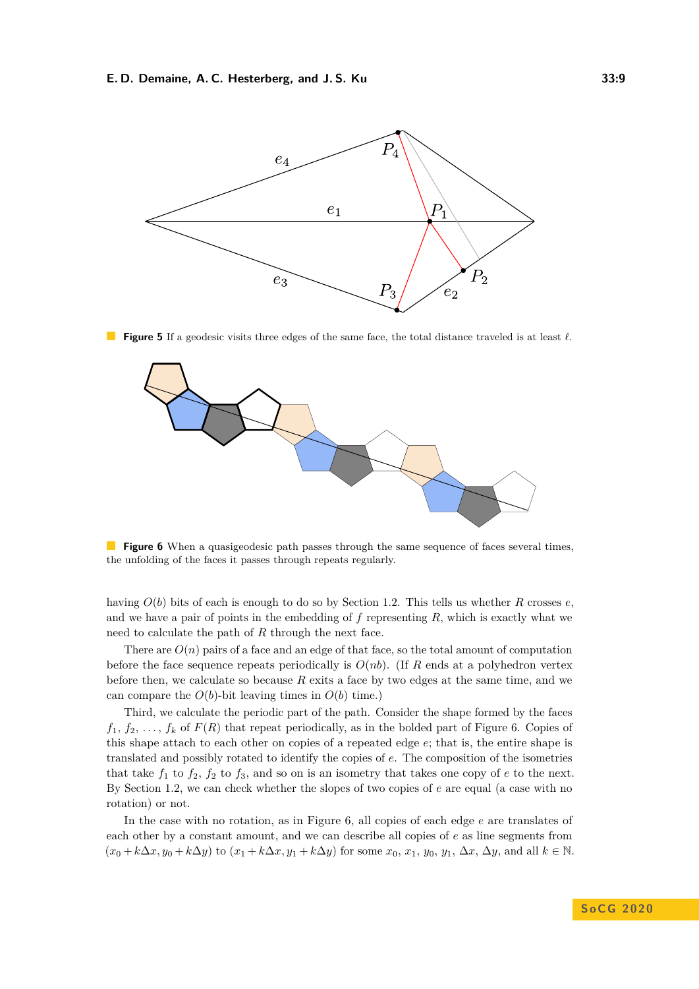<span id="page-8-0"></span>

**Figure 5** If a geodesic visits three edges of the same face, the total distance traveled is at least  $\ell$ .

<span id="page-8-1"></span>

**Figure 6** When a quasigeodesic path passes through the same sequence of faces several times, the unfolding of the faces it passes through repeats regularly.

having *O*(*b*) bits of each is enough to do so by Section [1.2.](#page-2-1) This tells us whether *R* crosses *e*, and we have a pair of points in the embedding of *f* representing *R*, which is exactly what we need to calculate the path of *R* through the next face.

There are  $O(n)$  pairs of a face and an edge of that face, so the total amount of computation before the face sequence repeats periodically is  $O(nb)$ . (If R ends at a polyhedron vertex before then, we calculate so because *R* exits a face by two edges at the same time, and we can compare the  $O(b)$ -bit leaving times in  $O(b)$  time.)

Third, we calculate the periodic part of the path. Consider the shape formed by the faces  $f_1, f_2, \ldots, f_k$  of  $F(R)$  that repeat periodically, as in the bolded part of Figure [6.](#page-8-1) Copies of this shape attach to each other on copies of a repeated edge *e*; that is, the entire shape is translated and possibly rotated to identify the copies of *e*. The composition of the isometries that take  $f_1$  to  $f_2$ ,  $f_2$  to  $f_3$ , and so on is an isometry that takes one copy of  $e$  to the next. By Section [1.2,](#page-2-1) we can check whether the slopes of two copies of *e* are equal (a case with no rotation) or not.

In the case with no rotation, as in Figure [6,](#page-8-1) all copies of each edge *e* are translates of each other by a constant amount, and we can describe all copies of *e* as line segments from  $(x_0 + k\Delta x, y_0 + k\Delta y)$  to  $(x_1 + k\Delta x, y_1 + k\Delta y)$  for some  $x_0, x_1, y_0, y_1, \Delta x, \Delta y$ , and all  $k \in \mathbb{N}$ .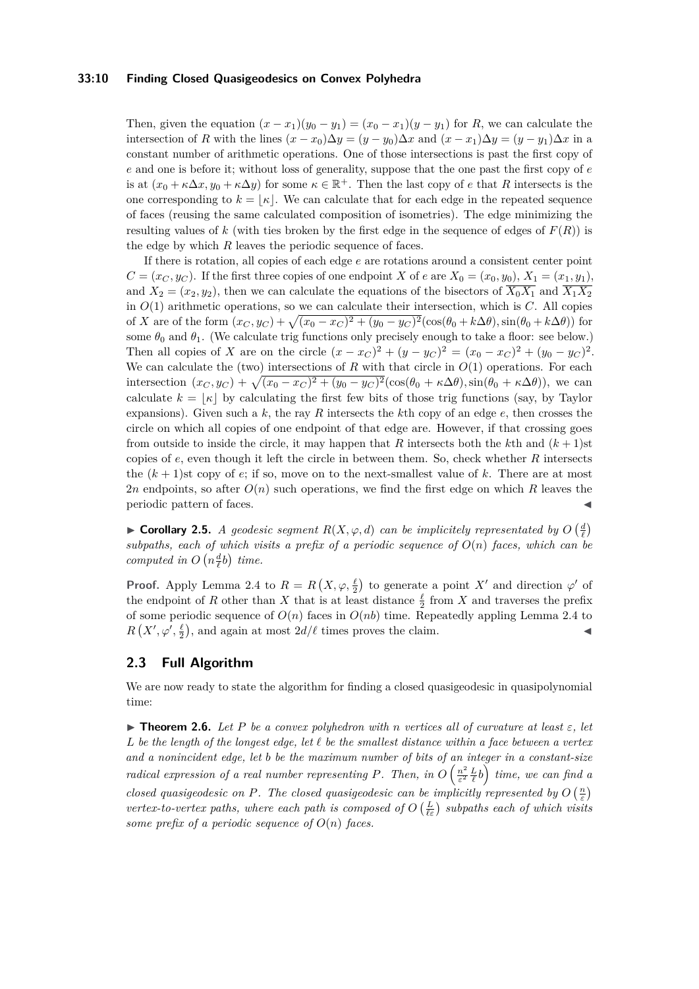#### **33:10 Finding Closed Quasigeodesics on Convex Polyhedra**

Then, given the equation  $(x - x_1)(y_0 - y_1) = (x_0 - x_1)(y - y_1)$  for *R*, we can calculate the intersection of *R* with the lines  $(x - x_0)\Delta y = (y - y_0)\Delta x$  and  $(x - x_1)\Delta y = (y - y_1)\Delta x$  in a constant number of arithmetic operations. One of those intersections is past the first copy of *e* and one is before it; without loss of generality, suppose that the one past the first copy of *e* is at  $(x_0 + \kappa \Delta x, y_0 + \kappa \Delta y)$  for some  $\kappa \in \mathbb{R}^+$ . Then the last copy of *e* that *R* intersects is the one corresponding to  $k = |\kappa|$ . We can calculate that for each edge in the repeated sequence of faces (reusing the same calculated composition of isometries). The edge minimizing the resulting values of  $k$  (with ties broken by the first edge in the sequence of edges of  $F(R)$ ) is the edge by which *R* leaves the periodic sequence of faces.

If there is rotation, all copies of each edge *e* are rotations around a consistent center point  $C = (x_C, y_C)$ . If the first three copies of one endpoint *X* of *e* are  $X_0 = (x_0, y_0), X_1 = (x_1, y_1)$ , and  $X_2 = (x_2, y_2)$ , then we can calculate the equations of the bisectors of  $\overline{X_0 X_1}$  and  $\overline{X_1 X_2}$ in  $O(1)$  arithmetic operations, so we can calculate their intersection, which is  $C$ . All copies of *X* are of the form  $(x_C, y_C) + \sqrt{(x_0 - x_C)^2 + (y_0 - y_C)^2}(\cos(\theta_0 + k\Delta\theta), \sin(\theta_0 + k\Delta\theta))$  for some  $\theta_0$  and  $\theta_1$ . (We calculate trig functions only precisely enough to take a floor: see below.) Then all copies of *X* are on the circle  $(x - x_C)^2 + (y - y_C)^2 = (x_0 - x_C)^2 + (y_0 - y_C)^2$ . We can calculate the (two) intersections of  $R$  with that circle in  $O(1)$  operations. For each intersection  $(x_C, y_C) + \sqrt{(x_0 - x_C)^2 + (y_0 - y_C)^2} (\cos(\theta_0 + \kappa \Delta \theta), \sin(\theta_0 + \kappa \Delta \theta))$ , we can calculate  $k = |\kappa|$  by calculating the first few bits of those trig functions (say, by Taylor expansions). Given such a *k*, the ray *R* intersects the *k*th copy of an edge *e*, then crosses the circle on which all copies of one endpoint of that edge are. However, if that crossing goes from outside to inside the circle, it may happen that *R* intersects both the *k*th and  $(k + 1)$ st copies of *e*, even though it left the circle in between them. So, check whether *R* intersects the  $(k+1)$ st copy of *e*; if so, move on to the next-smallest value of k. There are at most 2*n* endpoints, so after *O*(*n*) such operations, we find the first edge on which *R* leaves the periodic pattern of faces.

<span id="page-9-0"></span>► Corollary 2.5. *A geodesic segment*  $R(X, \varphi, d)$  *can be implicitely representated by*  $O\left(\frac{d}{\ell}\right)$ subpaths, each of which visits a prefix of a periodic sequence of  $O(n)$  faces, which can be *computed in*  $O(n\frac{d}{l}b)$  *time.* 

**Proof.** Apply Lemma [2.4](#page-7-0) to  $R = R(X, \varphi, \frac{\ell}{2})$  to generate a point X<sup>'</sup> and direction  $\varphi'$  of the endpoint of *R* other than *X* that is at least distance  $\frac{\ell}{2}$  from *X* and traverses the prefix of some periodic sequence of  $O(n)$  faces in  $O(nb)$  time. Repeatedly appling Lemma [2.4](#page-7-0) to  $R(X', \varphi', \frac{\ell}{2})$ , and again at most  $2d/\ell$  times proves the claim.

## **2.3 Full Algorithm**

We are now ready to state the algorithm for finding a closed quasigeodesic in quasipolynomial time:

<span id="page-9-1"></span> $\triangleright$  **Theorem 2.6.** *Let P be a convex polyhedron with n vertices all of curvature at least*  $\varepsilon$ *, let*  $L$  *be the length of the longest edge, let*  $\ell$  *be the smallest distance within a face between a vertex and a nonincident edge, let b be the maximum number of bits of an integer in a constant-size radical expression of a real number representing P. Then, in*  $O\left(\frac{n^2}{\epsilon^2}\right)$  $\left(\frac{n^2}{\varepsilon^2}\frac{L}{\ell}b\right)$  time, we can find a *closed quasigeodesic on P. The closed quasigeodesic can be implicitly represented by*  $O\left(\frac{n}{\varepsilon}\right)$ *vertex-to-vertex paths, where each path is composed of*  $O\left(\frac{L}{\ell \varepsilon}\right)$  subpaths each of which visits *some prefix of a periodic sequence of*  $O(n)$  *faces.*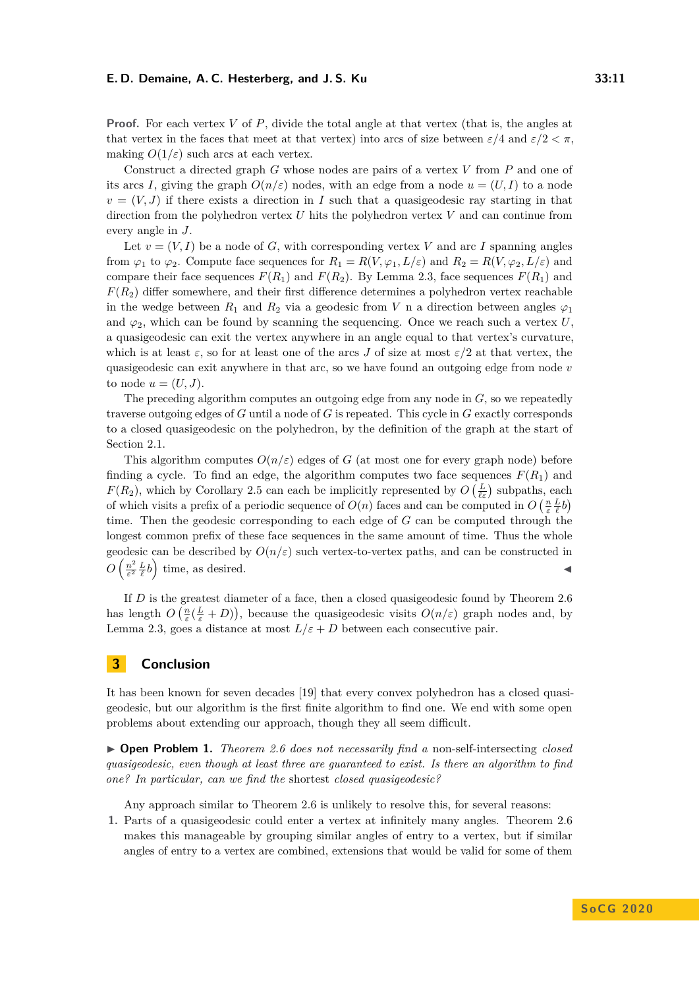**Proof.** For each vertex *V* of *P*, divide the total angle at that vertex (that is, the angles at that vertex in the faces that meet at that vertex) into arcs of size between  $\varepsilon/4$  and  $\varepsilon/2 < \pi$ . making  $O(1/\varepsilon)$  such arcs at each vertex.

Construct a directed graph *G* whose nodes are pairs of a vertex *V* from *P* and one of its arcs *I*, giving the graph  $O(n/\varepsilon)$  nodes, with an edge from a node  $u = (U, I)$  to a node  $v = (V, J)$  if there exists a direction in *I* such that a quasigeodesic ray starting in that direction from the polyhedron vertex *U* hits the polyhedron vertex *V* and can continue from every angle in *J*.

Let  $v = (V, I)$  be a node of *G*, with corresponding vertex *V* and arc *I* spanning angles from  $\varphi_1$  to  $\varphi_2$ . Compute face sequences for  $R_1 = R(V, \varphi_1, L/\varepsilon)$  and  $R_2 = R(V, \varphi_2, L/\varepsilon)$  and compare their face sequences  $F(R_1)$  and  $F(R_2)$ . By Lemma [2.3,](#page-5-2) face sequences  $F(R_1)$  and  $F(R_2)$  differ somewhere, and their first difference determines a polyhedron vertex reachable in the wedge between  $R_1$  and  $R_2$  via a geodesic from *V* n a direction between angles  $\varphi_1$ and  $\varphi_2$ , which can be found by scanning the sequencing. Once we reach such a vertex *U*, a quasigeodesic can exit the vertex anywhere in an angle equal to that vertex's curvature, which is at least  $\varepsilon$ , so for at least one of the arcs *J* of size at most  $\varepsilon/2$  at that vertex, the quasigeodesic can exit anywhere in that arc, so we have found an outgoing edge from node *v* to node  $u = (U, J)$ .

The preceding algorithm computes an outgoing edge from any node in *G*, so we repeatedly traverse outgoing edges of *G* until a node of *G* is repeated. This cycle in *G* exactly corresponds to a closed quasigeodesic on the polyhedron, by the definition of the graph at the start of Section [2.1.](#page-4-2)

This algorithm computes  $O(n/\varepsilon)$  edges of *G* (at most one for every graph node) before finding a cycle. To find an edge, the algorithm computes two face sequences  $F(R_1)$  and *F*(*R*<sub>2</sub>), which by Corollary [2.5](#page-9-0) can each be implicitly represented by  $O\left(\frac{L}{\ell \varepsilon}\right)$  subpaths, each of which visits a prefix of a periodic sequence of  $O(n)$  faces and can be computed in  $O\left(\frac{n}{\varepsilon}\frac{L}{\ell}b\right)$ time. Then the geodesic corresponding to each edge of *G* can be computed through the longest common prefix of these face sequences in the same amount of time. Thus the whole geodesic can be described by  $O(n/\varepsilon)$  such vertex-to-vertex paths, and can be constructed in  $O\left(\frac{n^2}{\varepsilon^2}\right)$  $\frac{n^2}{\varepsilon^2} \frac{L}{\ell} b$  time, as desired.

If *D* is the greatest diameter of a face, then a closed quasigeodesic found by Theorem [2.6](#page-9-1) has length  $O\left(\frac{n}{\varepsilon}(\frac{L}{\varepsilon}+D)\right)$ , because the quasigeodesic visits  $O(n/\varepsilon)$  graph nodes and, by Lemma [2.3,](#page-5-2) goes a distance at most  $L/\varepsilon + D$  between each consecutive pair.

## <span id="page-10-0"></span>**3 Conclusion**

It has been known for seven decades [\[19\]](#page-12-3) that every convex polyhedron has a closed quasigeodesic, but our algorithm is the first finite algorithm to find one. We end with some open problems about extending our approach, though they all seem difficult.

▶ **Open Problem 1.** *Theorem [2.6](#page-9-1)* does not necessarily find a non-self-intersecting *closed quasigeodesic, even though at least three are guaranteed to exist. Is there an algorithm to find one? In particular, can we find the* shortest *closed quasigeodesic?*

Any approach similar to Theorem [2.6](#page-9-1) is unlikely to resolve this, for several reasons:

**1.** Parts of a quasigeodesic could enter a vertex at infinitely many angles. Theorem [2.6](#page-9-1) makes this manageable by grouping similar angles of entry to a vertex, but if similar angles of entry to a vertex are combined, extensions that would be valid for some of them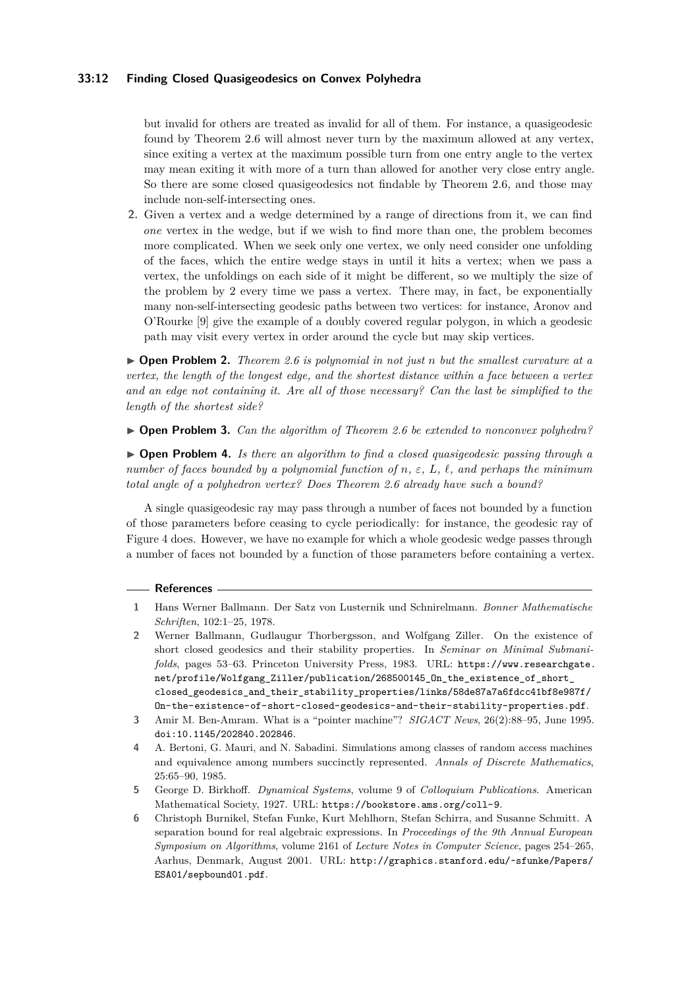#### **33:12 Finding Closed Quasigeodesics on Convex Polyhedra**

but invalid for others are treated as invalid for all of them. For instance, a quasigeodesic found by Theorem [2.6](#page-9-1) will almost never turn by the maximum allowed at any vertex, since exiting a vertex at the maximum possible turn from one entry angle to the vertex may mean exiting it with more of a turn than allowed for another very close entry angle. So there are some closed quasigeodesics not findable by Theorem [2.6,](#page-9-1) and those may include non-self-intersecting ones.

**2.** Given a vertex and a wedge determined by a range of directions from it, we can find *one* vertex in the wedge, but if we wish to find more than one, the problem becomes more complicated. When we seek only one vertex, we only need consider one unfolding of the faces, which the entire wedge stays in until it hits a vertex; when we pass a vertex, the unfoldings on each side of it might be different, so we multiply the size of the problem by 2 every time we pass a vertex. There may, in fact, be exponentially many non-self-intersecting geodesic paths between two vertices: for instance, Aronov and O'Rourke [\[9\]](#page-12-5) give the example of a doubly covered regular polygon, in which a geodesic path may visit every vertex in order around the cycle but may skip vertices.

I **Open Problem 2.** *Theorem [2.6](#page-9-1) is polynomial in not just n but the smallest curvature at a vertex, the length of the longest edge, and the shortest distance within a face between a vertex and an edge not containing it. Are all of those necessary? Can the last be simplified to the length of the shortest side?*

I **Open Problem 3.** *Can the algorithm of Theorem [2.6](#page-9-1) be extended to nonconvex polyhedra?*

I **Open Problem 4.** *Is there an algorithm to find a closed quasigeodesic passing through a number of faces bounded by a polynomial function of n,*  $\varepsilon$ *, L,*  $\ell$ *, and perhaps the minimum total angle of a polyhedron vertex? Does Theorem [2.6](#page-9-1) already have such a bound?*

A single quasigeodesic ray may pass through a number of faces not bounded by a function of those parameters before ceasing to cycle periodically: for instance, the geodesic ray of Figure [4](#page-6-1) does. However, we have no example for which a whole geodesic wedge passes through a number of faces not bounded by a function of those parameters before containing a vertex.

#### **References**

- <span id="page-11-2"></span>**1** Hans Werner Ballmann. Der Satz von Lusternik und Schnirelmann. *Bonner Mathematische Schriften*, 102:1–25, 1978.
- <span id="page-11-1"></span>**2** Werner Ballmann, Gudlaugur Thorbergsson, and Wolfgang Ziller. On the existence of short closed geodesics and their stability properties. In *Seminar on Minimal Submanifolds*, pages 53–63. Princeton University Press, 1983. URL: [https://www.researchgate.](https://www.researchgate.net/profile/Wolfgang_Ziller/publication/268500145_On_the_existence_of_short_closed_geodesics_and_their_stability_properties/links/58de87a7a6fdcc41bf8e987f/On-the-existence-of-short-closed-geodesics-and-their-stability-properties.pdf) [net/profile/Wolfgang\\_Ziller/publication/268500145\\_On\\_the\\_existence\\_of\\_short\\_](https://www.researchgate.net/profile/Wolfgang_Ziller/publication/268500145_On_the_existence_of_short_closed_geodesics_and_their_stability_properties/links/58de87a7a6fdcc41bf8e987f/On-the-existence-of-short-closed-geodesics-and-their-stability-properties.pdf) [closed\\_geodesics\\_and\\_their\\_stability\\_properties/links/58de87a7a6fdcc41bf8e987f/](https://www.researchgate.net/profile/Wolfgang_Ziller/publication/268500145_On_the_existence_of_short_closed_geodesics_and_their_stability_properties/links/58de87a7a6fdcc41bf8e987f/On-the-existence-of-short-closed-geodesics-and-their-stability-properties.pdf) [On-the-existence-of-short-closed-geodesics-and-their-stability-properties.pdf](https://www.researchgate.net/profile/Wolfgang_Ziller/publication/268500145_On_the_existence_of_short_closed_geodesics_and_their_stability_properties/links/58de87a7a6fdcc41bf8e987f/On-the-existence-of-short-closed-geodesics-and-their-stability-properties.pdf).
- <span id="page-11-3"></span>**3** Amir M. Ben-Amram. What is a "pointer machine"? *SIGACT News*, 26(2):88–95, June 1995. [doi:10.1145/202840.202846](https://doi.org/10.1145/202840.202846).
- <span id="page-11-5"></span>**4** A. Bertoni, G. Mauri, and N. Sabadini. Simulations among classes of random access machines and equivalence among numbers succinctly represented. *Annals of Discrete Mathematics*, 25:65–90, 1985.
- <span id="page-11-0"></span>**5** George D. Birkhoff. *Dynamical Systems*, volume 9 of *Colloquium Publications*. American Mathematical Society, 1927. URL: <https://bookstore.ams.org/coll-9>.
- <span id="page-11-4"></span>**6** Christoph Burnikel, Stefan Funke, Kurt Mehlhorn, Stefan Schirra, and Susanne Schmitt. A separation bound for real algebraic expressions. In *Proceedings of the 9th Annual European Symposium on Algorithms*, volume 2161 of *Lecture Notes in Computer Science*, pages 254–265, Aarhus, Denmark, August 2001. URL: [http://graphics.stanford.edu/~sfunke/Papers/](http://graphics.stanford.edu/~sfunke/Papers/ESA01/sepbound01.pdf) [ESA01/sepbound01.pdf](http://graphics.stanford.edu/~sfunke/Papers/ESA01/sepbound01.pdf).